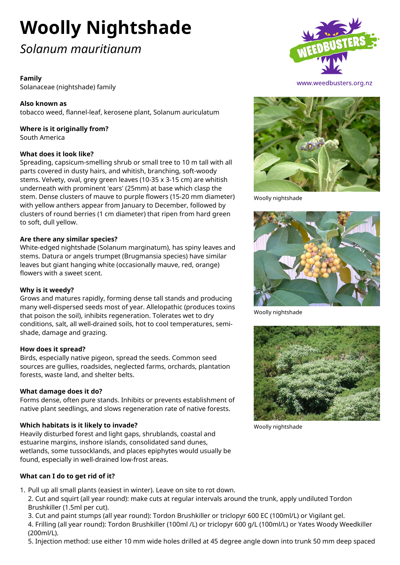# **Woolly Nightshade**

# *Solanum mauritianum*

# **Family**

Solanaceae (nightshade) family

**Also known as** tobacco weed, flannel-leaf, kerosene plant, Solanum auriculatum

#### **Where is it originally from?** South America

#### **What does it look like?**

Spreading, capsicum-smelling shrub or small tree to 10 m tall with all parts covered in dusty hairs, and whitish, branching, soft-woody stems. Velvety, oval, grey green leaves (10-35 x 3-15 cm) are whitish underneath with prominent 'ears' (25mm) at base which clasp the stem. Dense clusters of mauve to purple flowers (15-20 mm diameter) with yellow anthers appear from January to December, followed by clusters of round berries (1 cm diameter) that ripen from hard green to soft, dull yellow.

#### **Are there any similar species?**

White-edged nightshade (Solanum marginatum), has spiny leaves and stems. Datura or angels trumpet (Brugmansia species) have similar leaves but giant hanging white (occasionally mauve, red, orange) flowers with a sweet scent.

#### **Why is it weedy?**

Grows and matures rapidly, forming dense tall stands and producing many well-dispersed seeds most of year. Allelopathic (produces toxins that poison the soil), inhibits regeneration. Tolerates wet to dry conditions, salt, all well-drained soils, hot to cool temperatures, semishade, damage and grazing.

# **How does it spread?**

Birds, especially native pigeon, spread the seeds. Common seed sources are gullies, roadsides, neglected farms, orchards, plantation forests, waste land, and shelter belts.

#### **What damage does it do?**

Forms dense, often pure stands. Inhibits or prevents establishment of native plant seedlings, and slows regeneration rate of native forests.

# **Which habitats is it likely to invade?**

Heavily disturbed forest and light gaps, shrublands, coastal and estuarine margins, inshore islands, consolidated sand dunes, wetlands, some tussocklands, and places epiphytes would usually be found, especially in well-drained low-frost areas.

# **What can I do to get rid of it?**

- 1. Pull up all small plants (easiest in winter). Leave on site to rot down.
	- 2. Cut and squirt (all year round): make cuts at regular intervals around the trunk, apply undiluted Tordon Brushkiller (1.5ml per cut).
	- 3. Cut and paint stumps (all year round): Tordon Brushkiller or triclopyr 600 EC (100ml/L) or Vigilant gel.

4. Frilling (all year round): Tordon Brushkiller (100ml /L) or triclopyr 600 g/L (100ml/L) or Yates Woody Weedkiller (200ml/L).

5. Injection method: use either 10 mm wide holes drilled at 45 degree angle down into trunk 50 mm deep spaced





Woolly nightshade



Woolly nightshade



Woolly nightshade